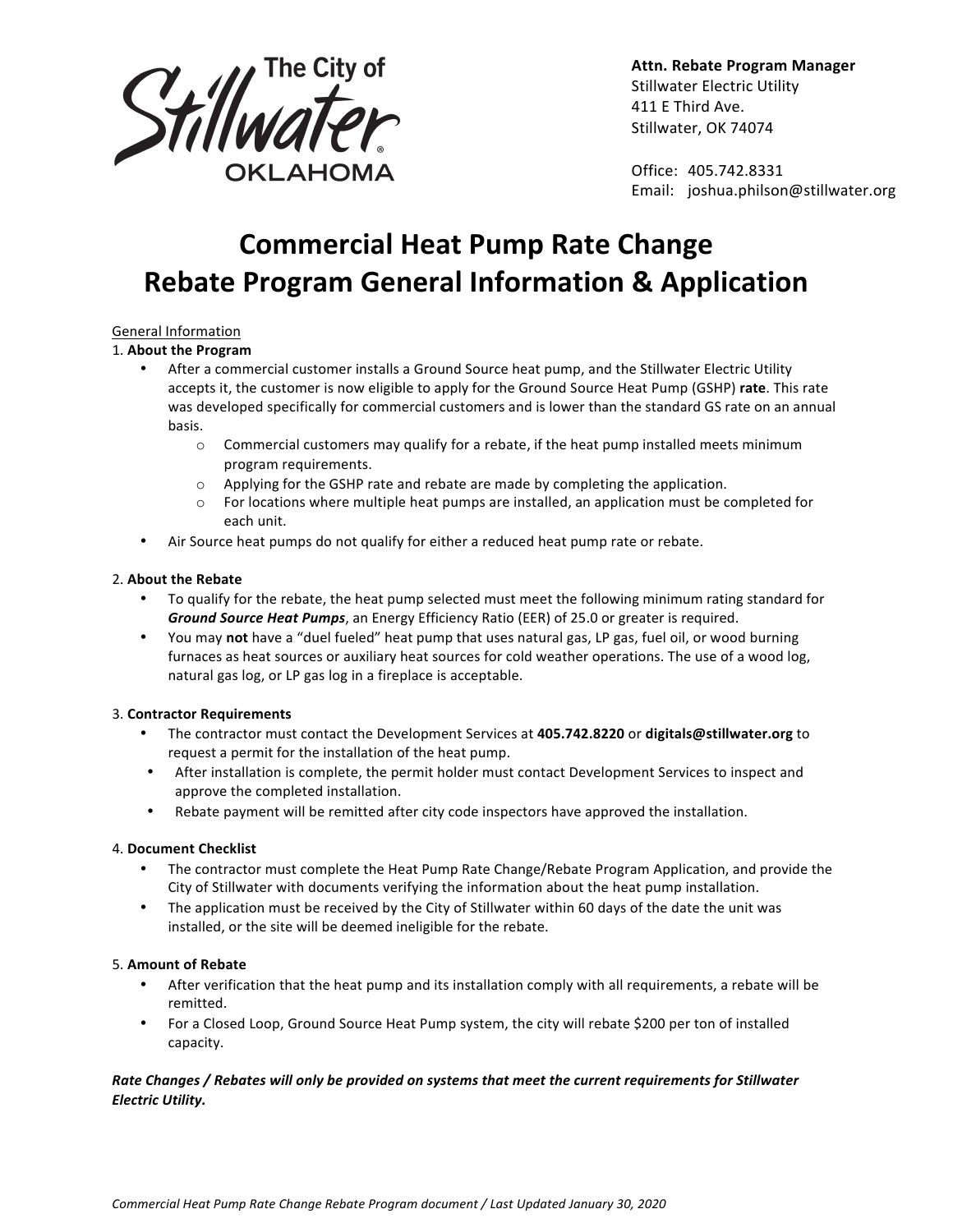

**Attn. Rebate Program Manager** Stillwater Electric Utility 411 E Third Ave. Stillwater, OK 74074

Office: 405.742.8331 Email: joshua.philson@stillwater.org

# **Commercial Heat Pump Rate Change Rebate Program General Information & Application**

## General Information

#### 1. **About the Program**

- After a commercial customer installs a Ground Source heat pump, and the Stillwater Electric Utility accepts it, the customer is now eligible to apply for the Ground Source Heat Pump (GSHP) rate. This rate was developed specifically for commercial customers and is lower than the standard GS rate on an annual basis.
	- $\circ$  Commercial customers may qualify for a rebate, if the heat pump installed meets minimum program requirements.
	- $\circ$  Applying for the GSHP rate and rebate are made by completing the application.
	- $\circ$  For locations where multiple heat pumps are installed, an application must be completed for each unit.
- Air Source heat pumps do not qualify for either a reduced heat pump rate or rebate.

#### 2. **About the Rebate**

- To qualify for the rebate, the heat pump selected must meet the following minimum rating standard for **Ground Source Heat Pumps**, an Energy Efficiency Ratio (EER) of 25.0 or greater is required.
- You may not have a "duel fueled" heat pump that uses natural gas, LP gas, fuel oil, or wood burning furnaces as heat sources or auxiliary heat sources for cold weather operations. The use of a wood log, natural gas log, or LP gas log in a fireplace is acceptable.

## 3. **Contractor Requirements**

- The contractor must contact the Development Services at 405.742.8220 or digitals@stillwater.org to request a permit for the installation of the heat pump.
- After installation is complete, the permit holder must contact Development Services to inspect and approve the completed installation.
- Rebate payment will be remitted after city code inspectors have approved the installation.

#### 4. **Document Checklist**

- The contractor must complete the Heat Pump Rate Change/Rebate Program Application, and provide the City of Stillwater with documents verifying the information about the heat pump installation.
- The application must be received by the City of Stillwater within 60 days of the date the unit was installed, or the site will be deemed ineligible for the rebate.

#### 5. **Amount of Rebate**

- After verification that the heat pump and its installation comply with all requirements, a rebate will be remitted.
- For a Closed Loop, Ground Source Heat Pump system, the city will rebate \$200 per ton of installed capacity.

## *Rate Changes / Rebates will only be provided on systems that meet the current requirements for Stillwater Electric Utility.*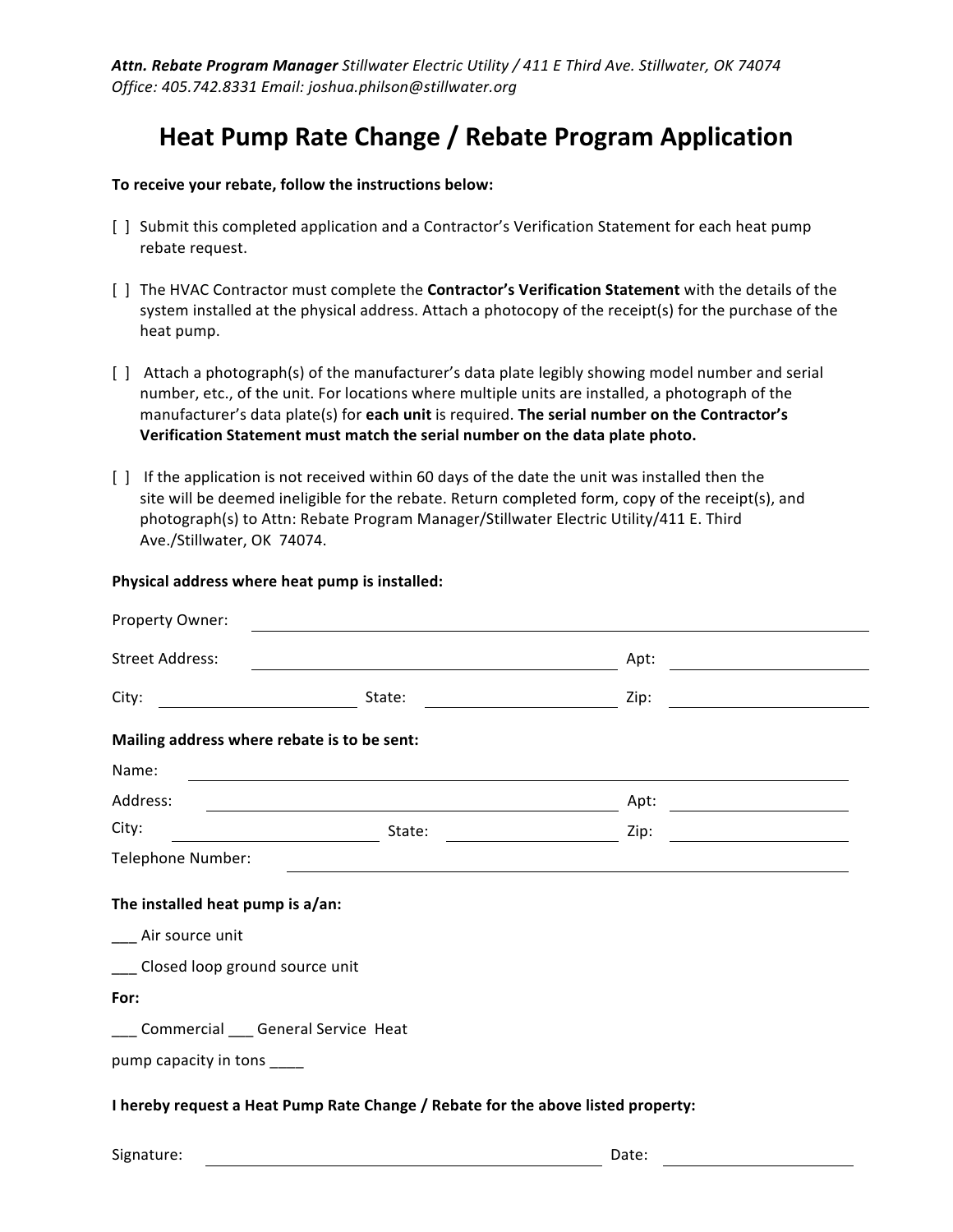*Attn. Rebate Program Manager Stillwater Electric Utility / 411 E Third Ave. Stillwater, OK 74074 Office: 405.742.8331 Email: joshua.philson@stillwater.org* 

# **Heat Pump Rate Change / Rebate Program Application**

To receive your rebate, follow the instructions below:

- [ ] Submit this completed application and a Contractor's Verification Statement for each heat pump rebate request.
- [ ] The HVAC Contractor must complete the **Contractor's Verification Statement** with the details of the system installed at the physical address. Attach a photocopy of the receipt(s) for the purchase of the heat pump.
- [ ] Attach a photograph(s) of the manufacturer's data plate legibly showing model number and serial number, etc., of the unit. For locations where multiple units are installed, a photograph of the manufacturer's data plate(s) for **each unit** is required. The serial number on the Contractor's Verification Statement must match the serial number on the data plate photo.
- [ ] If the application is not received within 60 days of the date the unit was installed then the site will be deemed ineligible for the rebate. Return completed form, copy of the receipt(s), and photograph(s) to Attn: Rebate Program Manager/Stillwater Electric Utility/411 E. Third Ave./Stillwater, OK 74074.

#### Physical address where heat pump is installed:

| Property Owner:                                                                  |                                                                                                                       |      |  |  |  |  |
|----------------------------------------------------------------------------------|-----------------------------------------------------------------------------------------------------------------------|------|--|--|--|--|
| <b>Street Address:</b>                                                           | <u> 1989 - Johann Barn, fransk politik amerikansk politik (d. 1989)</u>                                               | Apt: |  |  |  |  |
| City:                                                                            | State:                                                                                                                | Zip: |  |  |  |  |
| Mailing address where rebate is to be sent:                                      |                                                                                                                       |      |  |  |  |  |
| Name:                                                                            | <u> 1989 - Johann Stein, marwolaethau a bhann an t-Amhain ann an t-Amhain an t-Amhain an t-Amhain an t-Amhain an </u> |      |  |  |  |  |
| Address:                                                                         | <u> 1989 - Johann Stoff, amerikansk politiker (d. 1989)</u>                                                           | Apt: |  |  |  |  |
| City:                                                                            | State:                                                                                                                | Zip: |  |  |  |  |
| Telephone Number:                                                                |                                                                                                                       |      |  |  |  |  |
| The installed heat pump is a/an:                                                 |                                                                                                                       |      |  |  |  |  |
| __ Air source unit                                                               |                                                                                                                       |      |  |  |  |  |
| Closed loop ground source unit                                                   |                                                                                                                       |      |  |  |  |  |
| For:                                                                             |                                                                                                                       |      |  |  |  |  |
| Commercial ___ General Service Heat                                              |                                                                                                                       |      |  |  |  |  |
| pump capacity in tons ____                                                       |                                                                                                                       |      |  |  |  |  |
| I hereby request a Heat Pump Rate Change / Rebate for the above listed property: |                                                                                                                       |      |  |  |  |  |

Signature: Date: Date: Date: Date: Date: Date: Date: Date: Date: Date: Date: Date: Date: Date: Date: Date: Date: Date: Date: Date: Date: Date: Date: Date: Date: Date: Date: Date: Date: Date: Date: Date: Date: Date: Date: D